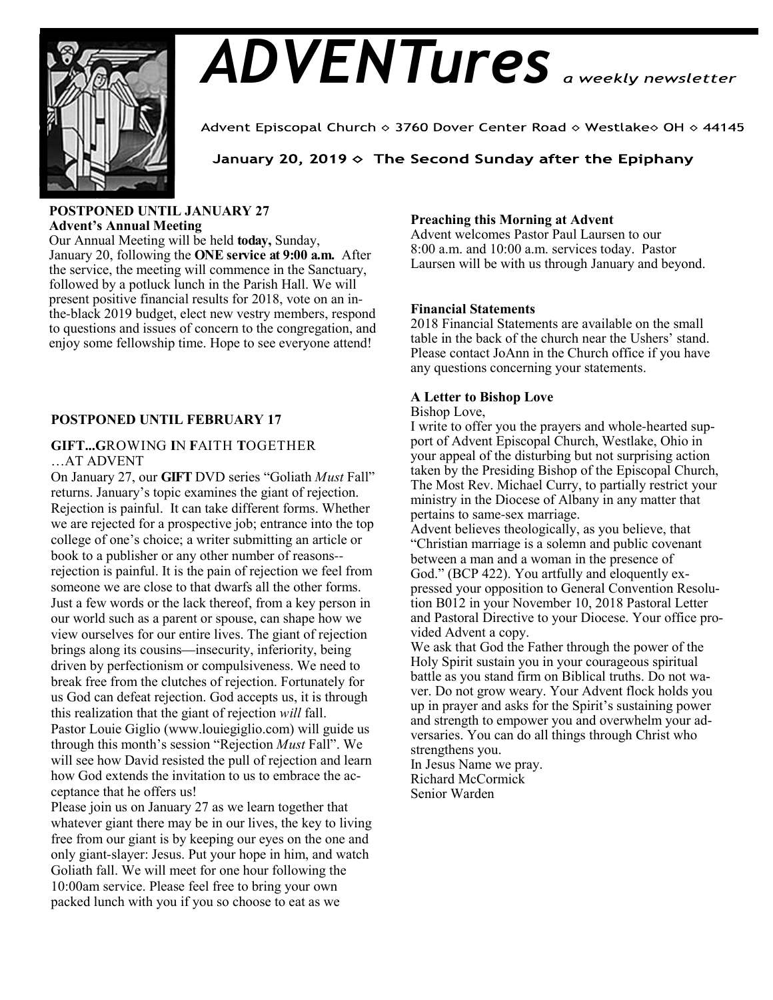# *ADVENTures*



Advent Episcopal Church ◇ 3760 Dover Center Road ◇ Westlake◇ OH ◇ 44145

# January 20, 2019  $\diamond$  The Second Sunday after the Epiphany

#### **POSTPONED UNTIL JANUARY 27 Advent's Annual Meeting**

Our Annual Meeting will be held **today,** Sunday, January 20, following the **ONE service at 9:00 a.m.** After the service, the meeting will commence in the Sanctuary, followed by a potluck lunch in the Parish Hall. We will present positive financial results for 2018, vote on an inthe-black 2019 budget, elect new vestry members, respond to questions and issues of concern to the congregation, and enjoy some fellowship time. Hope to see everyone attend!

# **POSTPONED UNTIL FEBRUARY 17**

## **GIFT...G**ROWING **I**N **F**AITH **T**OGETHER …AT ADVENT

On January 27, our **GIFT** DVD series "Goliath *Must* Fall" returns. January's topic examines the giant of rejection. Rejection is painful. It can take different forms. Whether we are rejected for a prospective job; entrance into the top college of one's choice; a writer submitting an article or book to a publisher or any other number of reasons- rejection is painful. It is the pain of rejection we feel from someone we are close to that dwarfs all the other forms. Just a few words or the lack thereof, from a key person in our world such as a parent or spouse, can shape how we view ourselves for our entire lives. The giant of rejection brings along its cousins—insecurity, inferiority, being driven by perfectionism or compulsiveness. We need to break free from the clutches of rejection. Fortunately for us God can defeat rejection. God accepts us, it is through this realization that the giant of rejection *will* fall. Pastor Louie Giglio (www.louiegiglio.com) will guide us through this month's session "Rejection *Must* Fall". We will see how David resisted the pull of rejection and learn how God extends the invitation to us to embrace the acceptance that he offers us!

Please join us on January 27 as we learn together that whatever giant there may be in our lives, the key to living free from our giant is by keeping our eyes on the one and only giant-slayer: Jesus. Put your hope in him, and watch Goliath fall. We will meet for one hour following the 10:00am service. Please feel free to bring your own packed lunch with you if you so choose to eat as we

## **Preaching this Morning at Advent**

Advent welcomes Pastor Paul Laursen to our 8:00 a.m. and 10:00 a.m. services today. Pastor Laursen will be with us through January and beyond.

#### **Financial Statements**

2018 Financial Statements are available on the small table in the back of the church near the Ushers' stand. Please contact JoAnn in the Church office if you have any questions concerning your statements.

# **A Letter to Bishop Love**

#### Bishop Love,

I write to offer you the prayers and whole-hearted support of Advent Episcopal Church, Westlake, Ohio in your appeal of the disturbing but not surprising action taken by the Presiding Bishop of the Episcopal Church, The Most Rev. Michael Curry, to partially restrict your ministry in the Diocese of Albany in any matter that pertains to same-sex marriage.

Advent believes theologically, as you believe, that "Christian marriage is a solemn and public covenant between a man and a woman in the presence of God." (BCP 422). You artfully and eloquently expressed your opposition to General Convention Resolution B012 in your November 10, 2018 Pastoral Letter and Pastoral Directive to your Diocese. Your office provided Advent a copy.

We ask that God the Father through the power of the Holy Spirit sustain you in your courageous spiritual battle as you stand firm on Biblical truths. Do not waver. Do not grow weary. Your Advent flock holds you up in prayer and asks for the Spirit's sustaining power and strength to empower you and overwhelm your adversaries. You can do all things through Christ who strengthens you.

In Jesus Name we pray. Richard McCormick Senior Warden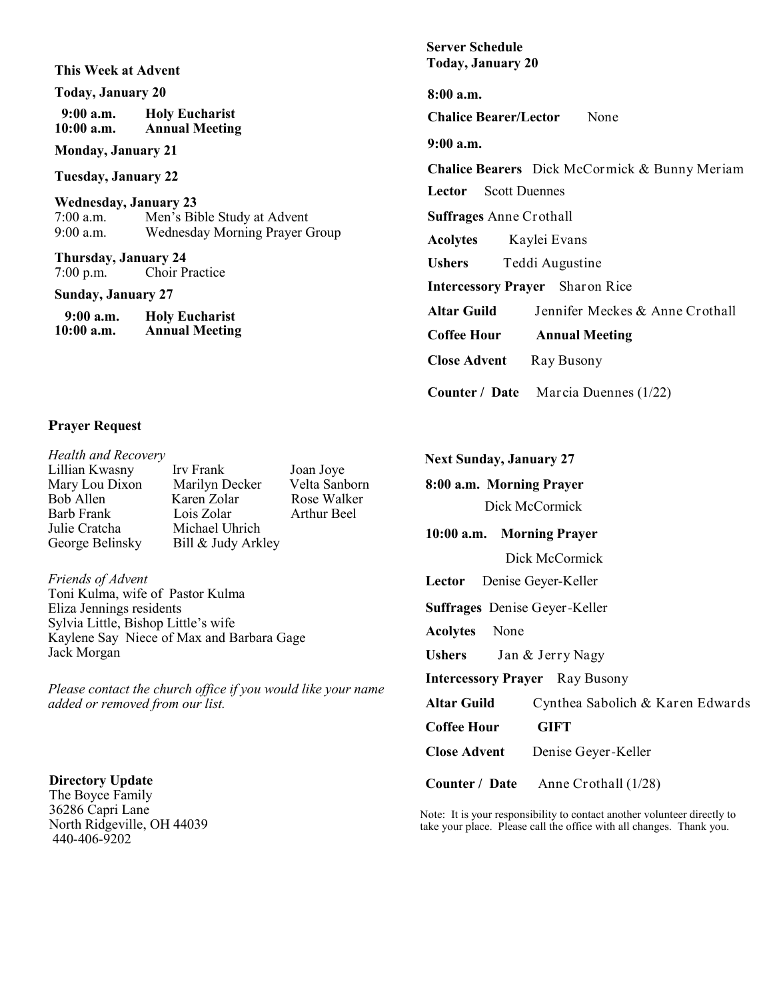**This Week at Advent**

**Today, January 20**

 **9:00 a.m. Holy Eucharist Annual Meeting** 

**Monday, January 21**

**Tuesday, January 22**

**Wednesday, January 23**<br>7:00 a.m. Men's Bill 7:00 a.m. Men's Bible Study at Advent Wednesday Morning Prayer Group

**Thursday, January 24** 7:00 p.m. Choir Practice

**Sunday, January 27**

| $9:00$ a.m.  | <b>Holy Eucharist</b> |
|--------------|-----------------------|
| $10:00$ a.m. | <b>Annual Meeting</b> |

#### **Prayer Request**

| <b>Health and Recovery</b> |                    |                    |
|----------------------------|--------------------|--------------------|
| Lillian Kwasny             | Irv Frank          | Joan Joye          |
| Mary Lou Dixon             | Marilyn Decker     | Velta Sanborn      |
| Bob Allen                  | Karen Zolar        | Rose Walker        |
| Barb Frank                 | Lois Zolar         | <b>Arthur Beel</b> |
| Julie Cratcha              | Michael Uhrich     |                    |
| George Belinsky            | Bill & Judy Arkley |                    |
|                            |                    |                    |

*Friends of Advent* Toni Kulma, wife of Pastor Kulma Eliza Jennings residents Sylvia Little, Bishop Little's wife Kaylene Say Niece of Max and Barbara Gage Jack Morgan

*Please contact the church office if you would like your name added or removed from our list.*

**Directory Update** The Boyce Family 36286 Capri Lane North Ridgeville, OH 44039 440-406-9202

**Server Schedule Today, January 20**

**8:00 a.m.** 

**Chalice Bearer/Lector** None

**9:00 a.m.** 

**Chalice Bearers** Dick McCormick & Bunny Meriam

**Lector** Scott Duennes

**Suffrages** Anne Crothall

**Acolytes** Kaylei Evans

**Ushers** Teddi Augustine

**Intercessory Prayer** Sharon Rice

**Altar Guild** Jennifer Meckes & Anne Crothall

**Coffee Hour Annual Meeting**

**Close Advent** Ray Busony

**Counter / Date** Marcia Duennes (1/22)

**8:00 a.m. Morning Prayer Next Sunday, January 27**

Dick McCormick

**10:00 a.m. Morning Prayer**

Dick McCormick

**Lector** Denise Geyer-Keller

**Suffrages** Denise Geyer-Keller

**Acolytes** None

**Ushers** Jan & Jerry Nagy

**Intercessory Prayer** Ray Busony

**Altar Guild** Cynthea Sabolich & Karen Edwards **Coffee Hour GIFT Close Advent** Denise Geyer-Keller

**Counter / Date** Anne Crothall (1/28)

Note: It is your responsibility to contact another volunteer directly to take your place. Please call the office with all changes. Thank you.